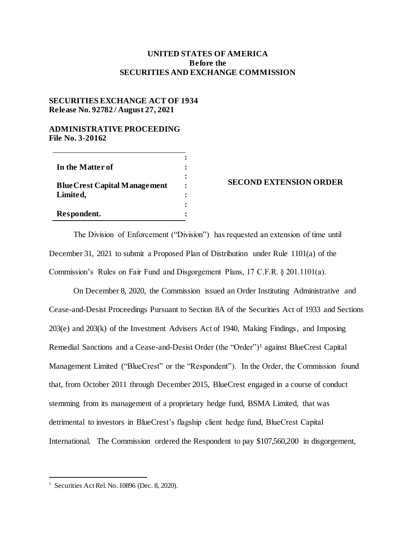## **UNITED STATES OF AMERICA Before the SECURITIES AND EXCHANGE COMMISSION**

## **SECURITIES EXCHANGE ACT OF 1934 Release No. 92782 / August 27, 2021**

## **ADMINISTRATIVE PROCEEDING File No. 3-20162**

| In the Matter of                     |  |
|--------------------------------------|--|
|                                      |  |
| <b>Blue Crest Capital Management</b> |  |
| Limited,                             |  |
|                                      |  |
| Respondent.                          |  |

## **SECOND EXTENSION ORDER**

The Division of Enforcement ("Division") has requested an extension of time until December 31, 2021 to submit a Proposed Plan of Distribution under Rule 1101(a) of the Commission's Rules on Fair Fund and Disgorgement Plans, 17 C.F.R. § 201.1101(a).

On December 8, 2020, the Commission issued an Order Instituting Administrative and Cease-and-Desist Proceedings Pursuant to Section 8A of the Securities Act of 1933 and Sections 203(e) and 203(k) of the Investment Advisers Act of 1940, Making Findings, and Imposing Remedial Sanctions and a Cease-and-Desist Order (the "Order")<sup>1</sup> against BlueCrest Capital Management Limited ("BlueCrest" or the "Respondent"). In the Order, the Commission found that, from October 2011 through December 2015, BlueCrest engaged in a course of conduct stemming from its management of a proprietary hedge fund, BSMA Limited, that was detrimental to investors in BlueCrest's flagship client hedge fund, BlueCrest Capital International. The Commission ordered the Respondent to pay \$107,560,200 in disgorgement,

l

<sup>&</sup>lt;sup>1</sup> Securities Act Rel. No. 10896 (Dec. 8, 2020).